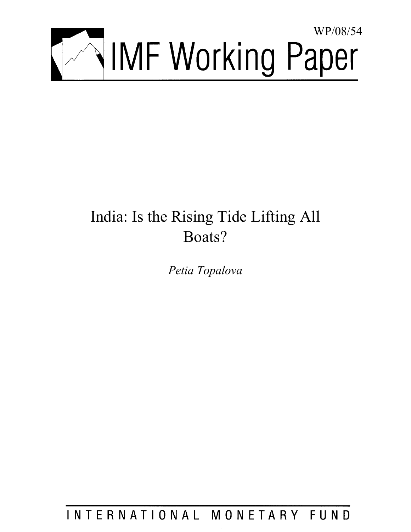

# India: Is the Rising Tide Lifting All Boats?

*Petia Topalova* 

INTERNATIONAL MONETARY FUND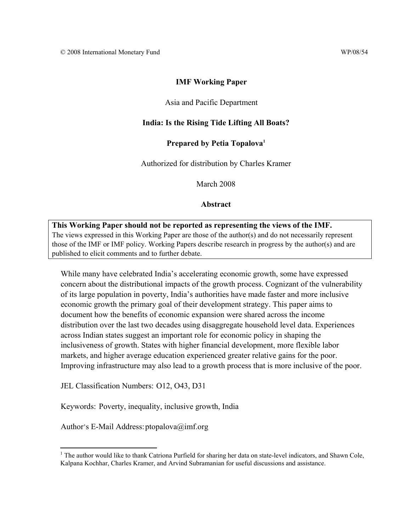# **IMF Working Paper**

# Asia and Pacific Department

# **India: Is the Rising Tide Lifting All Boats?**

## **Prepared by Petia Topalova1**

Authorized for distribution by Charles Kramer

March 2008

## **Abstract**

**This Working Paper should not be reported as representing the views of the IMF.** The views expressed in this Working Paper are those of the author(s) and do not necessarily represent those of the IMF or IMF policy. Working Papers describe research in progress by the author(s) and are published to elicit comments and to further debate.

While many have celebrated India's accelerating economic growth, some have expressed concern about the distributional impacts of the growth process. Cognizant of the vulnerability of its large population in poverty, India's authorities have made faster and more inclusive economic growth the primary goal of their development strategy. This paper aims to document how the benefits of economic expansion were shared across the income distribution over the last two decades using disaggregate household level data. Experiences across Indian states suggest an important role for economic policy in shaping the inclusiveness of growth. States with higher financial development, more flexible labor markets, and higher average education experienced greater relative gains for the poor. Improving infrastructure may also lead to a growth process that is more inclusive of the poor.

JEL Classification Numbers: O12, O43, D31

Keywords: Poverty, inequality, inclusive growth, India

Author's E-Mail Address: ptopalova@imf.org

 $\overline{a}$ 

<sup>&</sup>lt;sup>1</sup> The author would like to thank Catriona Purfield for sharing her data on state-level indicators, and Shawn Cole, Kalpana Kochhar, Charles Kramer, and Arvind Subramanian for useful discussions and assistance.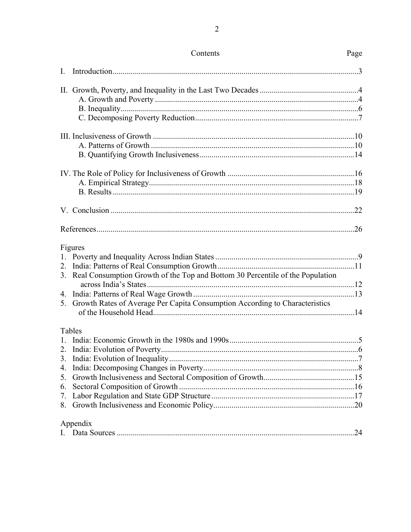| I. |                                                                                  |     |
|----|----------------------------------------------------------------------------------|-----|
|    |                                                                                  |     |
|    |                                                                                  |     |
|    |                                                                                  |     |
|    |                                                                                  |     |
|    |                                                                                  |     |
|    |                                                                                  |     |
|    |                                                                                  |     |
|    |                                                                                  |     |
|    |                                                                                  |     |
|    |                                                                                  |     |
|    |                                                                                  |     |
|    |                                                                                  |     |
|    | Figures                                                                          |     |
|    |                                                                                  |     |
|    |                                                                                  |     |
|    | 3. Real Consumption Growth of the Top and Bottom 30 Percentile of the Population |     |
|    |                                                                                  |     |
|    | 5. Growth Rates of Average Per Capita Consumption According to Characteristics   |     |
|    |                                                                                  |     |
|    | Tables                                                                           |     |
|    |                                                                                  |     |
|    |                                                                                  |     |
|    |                                                                                  |     |
|    |                                                                                  |     |
|    |                                                                                  |     |
|    |                                                                                  |     |
|    |                                                                                  |     |
|    |                                                                                  |     |
|    | Appendix                                                                         |     |
|    |                                                                                  | .24 |

# Contents

 $\overline{2}$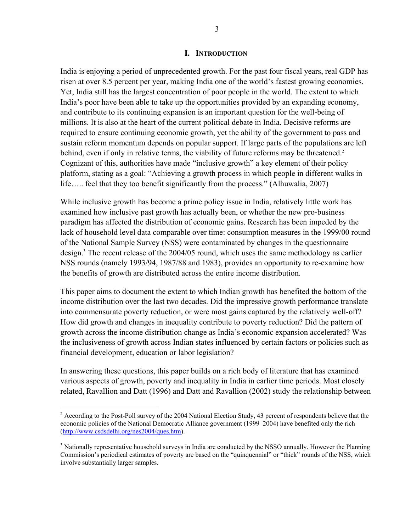#### **I. INTRODUCTION**

India is enjoying a period of unprecedented growth. For the past four fiscal years, real GDP has risen at over 8.5 percent per year, making India one of the world's fastest growing economies. Yet, India still has the largest concentration of poor people in the world. The extent to which India's poor have been able to take up the opportunities provided by an expanding economy, and contribute to its continuing expansion is an important question for the well-being of millions. It is also at the heart of the current political debate in India. Decisive reforms are required to ensure continuing economic growth, yet the ability of the government to pass and sustain reform momentum depends on popular support. If large parts of the populations are left behind, even if only in relative terms, the viability of future reforms may be threatened.<sup>2</sup> Cognizant of this, authorities have made "inclusive growth" a key element of their policy platform, stating as a goal: "Achieving a growth process in which people in different walks in life….. feel that they too benefit significantly from the process." (Alhuwalia, 2007)

While inclusive growth has become a prime policy issue in India, relatively little work has examined how inclusive past growth has actually been, or whether the new pro-business paradigm has affected the distribution of economic gains. Research has been impeded by the lack of household level data comparable over time: consumption measures in the 1999/00 round of the National Sample Survey (NSS) were contaminated by changes in the questionnaire design.3 The recent release of the 2004/05 round, which uses the same methodology as earlier NSS rounds (namely 1993/94, 1987/88 and 1983), provides an opportunity to re-examine how the benefits of growth are distributed across the entire income distribution.

This paper aims to document the extent to which Indian growth has benefited the bottom of the income distribution over the last two decades. Did the impressive growth performance translate into commensurate poverty reduction, or were most gains captured by the relatively well-off? How did growth and changes in inequality contribute to poverty reduction? Did the pattern of growth across the income distribution change as India's economic expansion accelerated? Was the inclusiveness of growth across Indian states influenced by certain factors or policies such as financial development, education or labor legislation?

In answering these questions, this paper builds on a rich body of literature that has examined various aspects of growth, poverty and inequality in India in earlier time periods. Most closely related, Ravallion and Datt (1996) and Datt and Ravallion (2002) study the relationship between

 $\overline{a}$ 

 $2^2$  According to the Post-Poll survey of the 2004 National Election Study, 43 percent of respondents believe that the economic policies of the National Democratic Alliance government (1999–2004) have benefited only the rich (http://www.csdsdelhi.org/nes2004/ques.htm).

 $3$  Nationally representative household surveys in India are conducted by the NSSO annually. However the Planning Commission's periodical estimates of poverty are based on the "quinquennial" or "thick" rounds of the NSS, which involve substantially larger samples.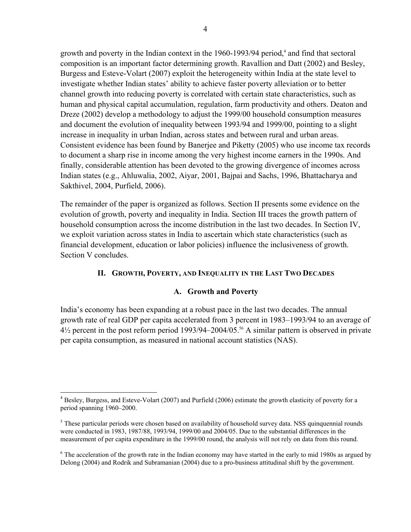growth and poverty in the Indian context in the 1960-1993/94 period,<sup>4</sup> and find that sectoral composition is an important factor determining growth. Ravallion and Datt (2002) and Besley, Burgess and Esteve-Volart (2007) exploit the heterogeneity within India at the state level to investigate whether Indian states' ability to achieve faster poverty alleviation or to better channel growth into reducing poverty is correlated with certain state characteristics, such as human and physical capital accumulation, regulation, farm productivity and others. Deaton and Dreze (2002) develop a methodology to adjust the 1999/00 household consumption measures and document the evolution of inequality between 1993/94 and 1999/00, pointing to a slight increase in inequality in urban Indian, across states and between rural and urban areas. Consistent evidence has been found by Banerjee and Piketty (2005) who use income tax records to document a sharp rise in income among the very highest income earners in the 1990s. And finally, considerable attention has been devoted to the growing divergence of incomes across Indian states (e.g., Ahluwalia, 2002, Aiyar, 2001, Bajpai and Sachs, 1996, Bhattacharya and Sakthivel, 2004, Purfield, 2006).

The remainder of the paper is organized as follows. Section II presents some evidence on the evolution of growth, poverty and inequality in India. Section III traces the growth pattern of household consumption across the income distribution in the last two decades. In Section IV, we exploit variation across states in India to ascertain which state characteristics (such as financial development, education or labor policies) influence the inclusiveness of growth. Section V concludes.

# **II. GROWTH, POVERTY, AND INEQUALITY IN THE LAST TWO DECADES**

# **A. Growth and Poverty**

India's economy has been expanding at a robust pace in the last two decades. The annual growth rate of real GDP per capita accelerated from 3 percent in 1983–1993/94 to an average of 4½ percent in the post reform period 1993/94–2004/05.56 A similar pattern is observed in private per capita consumption, as measured in national account statistics (NAS).

<sup>4&</sup>lt;br><sup>4</sup> Besley, Burgess, and Esteve-Volart (2007) and Purfield (2006) estimate the growth elasticity of poverty for a period spanning 1960–2000.

<sup>&</sup>lt;sup>5</sup> These particular periods were chosen based on availability of household survey data. NSS quinquennial rounds were conducted in 1983, 1987/88, 1993/94, 1999/00 and 2004/05. Due to the substantial differences in the measurement of per capita expenditure in the 1999/00 round, the analysis will not rely on data from this round.

<sup>&</sup>lt;sup>6</sup> The acceleration of the growth rate in the Indian economy may have started in the early to mid 1980s as argued by Delong (2004) and Rodrik and Subramanian (2004) due to a pro-business attitudinal shift by the government.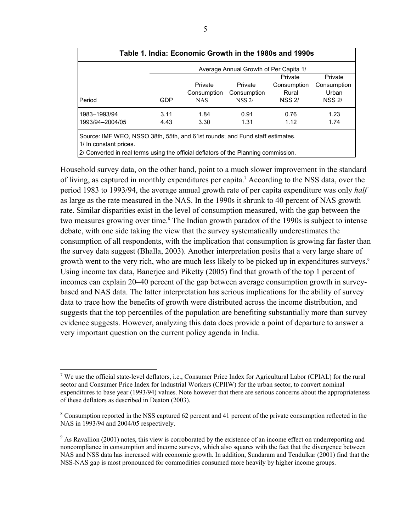|                                                                              |      | Table 1. India: Economic Growth in the 1980s and 1990s |                                        |               |               |
|------------------------------------------------------------------------------|------|--------------------------------------------------------|----------------------------------------|---------------|---------------|
|                                                                              |      |                                                        | Average Annual Growth of Per Capita 1/ |               |               |
|                                                                              |      |                                                        |                                        | Private       | Private       |
|                                                                              |      | Private                                                | Private                                | Consumption   | Consumption   |
|                                                                              |      | Consumption                                            | Consumption                            | Rural         | Urban         |
| <b>Period</b>                                                                | GDP  | <b>NAS</b>                                             | <b>NSS 2/</b>                          | <b>NSS 2/</b> | <b>NSS 2/</b> |
| 1983-1993/94                                                                 | 3.11 | 1.84                                                   | 0.91                                   | 0.76          | 1.23          |
| 1993/94-2004/05                                                              | 4.43 | 3.30                                                   | 1.31                                   | 1.12          | 1.74          |
| Source: IMF WEO, NSSO 38th, 55th, and 61st rounds; and Fund staff estimates. |      |                                                        |                                        |               |               |

1/ In constant prices.

1

2/ Converted in real terms using the official deflators of the Planning commission.

Household survey data, on the other hand, point to a much slower improvement in the standard of living, as captured in monthly expenditures per capita.7 According to the NSS data, over the period 1983 to 1993/94, the average annual growth rate of per capita expenditure was only *half* as large as the rate measured in the NAS. In the 1990s it shrunk to 40 percent of NAS growth rate. Similar disparities exist in the level of consumption measured, with the gap between the two measures growing over time.<sup>8</sup> The Indian growth paradox of the 1990s is subject to intense debate, with one side taking the view that the survey systematically underestimates the consumption of all respondents, with the implication that consumption is growing far faster than the survey data suggest (Bhalla, 2003). Another interpretation posits that a very large share of growth went to the very rich, who are much less likely to be picked up in expenditures surveys.<sup>9</sup> Using income tax data, Banerjee and Piketty (2005) find that growth of the top 1 percent of incomes can explain 20–40 percent of the gap between average consumption growth in surveybased and NAS data. The latter interpretation has serious implications for the ability of survey data to trace how the benefits of growth were distributed across the income distribution, and suggests that the top percentiles of the population are benefiting substantially more than survey evidence suggests. However, analyzing this data does provide a point of departure to answer a very important question on the current policy agenda in India.

<sup>&</sup>lt;sup>7</sup> We use the official state-level deflators, i.e., Consumer Price Index for Agricultural Labor (CPIAL) for the rural sector and Consumer Price Index for Industrial Workers (CPIIW) for the urban sector, to convert nominal expenditures to base year (1993/94) values. Note however that there are serious concerns about the appropriateness of these deflators as described in Deaton (2003).

 $8$  Consumption reported in the NSS captured 62 percent and 41 percent of the private consumption reflected in the NAS in 1993/94 and 2004/05 respectively.

 $9$  As Ravallion (2001) notes, this view is corroborated by the existence of an income effect on underreporting and noncompliance in consumption and income surveys, which also squares with the fact that the divergence between NAS and NSS data has increased with economic growth. In addition, Sundaram and Tendulkar (2001) find that the NSS-NAS gap is most pronounced for commodities consumed more heavily by higher income groups.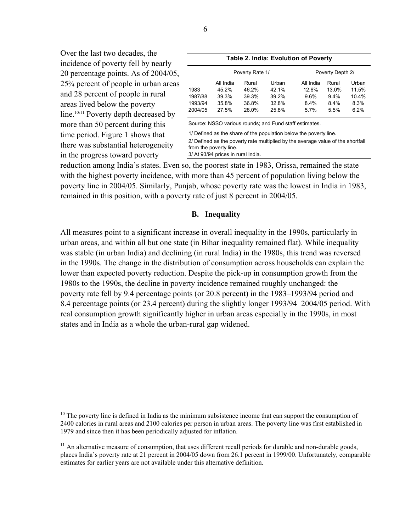Over the last two decades, the incidence of poverty fell by nearly 20 percentage points. As of 2004/05, 25¾ percent of people in urban areas and 28 percent of people in rural areas lived below the poverty line.<sup>10,11</sup> Poverty depth decreased by more than 50 percent during this time period. Figure 1 shows that there was substantial heterogeneity in the progress toward poverty

<u>.</u>

|                                       |                                                              |                                           |                                                        | <b>Table 2. India: Evolution of Poverty</b>                                                                                                          |                                              |                                         |
|---------------------------------------|--------------------------------------------------------------|-------------------------------------------|--------------------------------------------------------|------------------------------------------------------------------------------------------------------------------------------------------------------|----------------------------------------------|-----------------------------------------|
|                                       |                                                              | Poverty Rate 1/                           |                                                        |                                                                                                                                                      | Poverty Depth 2/                             |                                         |
| 1983<br>1987/88<br>1993/94<br>2004/05 | All India<br>45.2%<br>39.3%<br>35.8%<br>27.5%                | Rural<br>46.2%<br>39.3%<br>36.8%<br>28.0% | Urban<br>42.1%<br>39.2%<br>32.8%<br>25.8%              | All India<br>12.6%<br>9.6%<br>$8.4\%$<br>$5.7\%$                                                                                                     | Rural<br>13.0%<br>$9.4\%$<br>$8.4\%$<br>5.5% | Urban<br>11.5%<br>10.4%<br>8.3%<br>6.2% |
|                                       | from the poverty line.<br>3/ At 93/94 prices in rural India. |                                           | Source: NSSO various rounds; and Fund staff estimates. | 1/ Defined as the share of the population below the poverty line.<br>2/ Defined as the poverty rate multiplied by the average value of the shortfall |                                              |                                         |

reduction among India's states. Even so, the poorest state in 1983, Orissa, remained the state with the highest poverty incidence, with more than 45 percent of population living below the poverty line in 2004/05. Similarly, Punjab, whose poverty rate was the lowest in India in 1983, remained in this position, with a poverty rate of just 8 percent in 2004/05.

## **B. Inequality**

All measures point to a significant increase in overall inequality in the 1990s, particularly in urban areas, and within all but one state (in Bihar inequality remained flat). While inequality was stable (in urban India) and declining (in rural India) in the 1980s, this trend was reversed in the 1990s. The change in the distribution of consumption across households can explain the lower than expected poverty reduction. Despite the pick-up in consumption growth from the 1980s to the 1990s, the decline in poverty incidence remained roughly unchanged: the poverty rate fell by 9.4 percentage points (or 20.8 percent) in the 1983–1993/94 period and 8.4 percentage points (or 23.4 percent) during the slightly longer 1993/94–2004/05 period. With real consumption growth significantly higher in urban areas especially in the 1990s, in most states and in India as a whole the urban-rural gap widened.

 $10$  The poverty line is defined in India as the minimum subsistence income that can support the consumption of 2400 calories in rural areas and 2100 calories per person in urban areas. The poverty line was first established in 1979 and since then it has been periodically adjusted for inflation.

 $11$  An alternative measure of consumption, that uses different recall periods for durable and non-durable goods, places India's poverty rate at 21 percent in 2004/05 down from 26.1 percent in 1999/00. Unfortunately, comparable estimates for earlier years are not available under this alternative definition.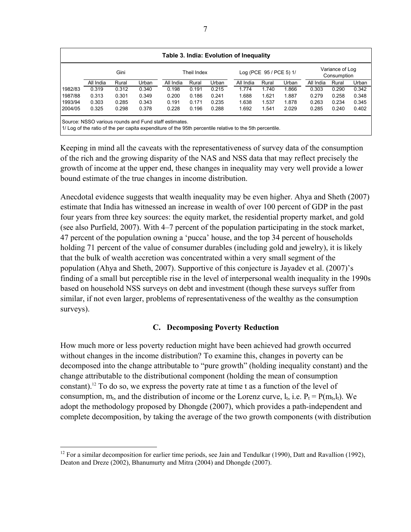|           |           |       |       |                                                                                                                                                                    |             |       | Table 3. India: Evolution of Inequality |                         |       |           |                                |       |
|-----------|-----------|-------|-------|--------------------------------------------------------------------------------------------------------------------------------------------------------------------|-------------|-------|-----------------------------------------|-------------------------|-------|-----------|--------------------------------|-------|
|           |           | Gini  |       |                                                                                                                                                                    | Theil Index |       |                                         | Log (PCE 95 / PCE 5) 1/ |       |           | Variance of Log<br>Consumption |       |
|           | All India | Rural | Urban | All India                                                                                                                                                          | Rural       | Urban | All India                               | Rural                   | Urban | All India | Rural                          | Urban |
| 1982/83   | 0.319     | 0.312 | 0.340 | 0.198                                                                                                                                                              | 0.191       | 0.215 | 1.774                                   | 1.740                   | 1.866 | 0.303     | 0.290                          | 0.342 |
| 1987/88   | 0.313     | 0.301 | 0.349 | 0.200                                                                                                                                                              | 0.186       | 0.241 | 1.688                                   | 1.621                   | 1.887 | 0.279     | 0.258                          | 0.348 |
| 1993/94   | 0.303     | 0.285 | 0.343 | 0.191                                                                                                                                                              | 0.171       | 0.235 | 1.638                                   | 1.537                   | 1.878 | 0.263     | 0.234                          | 0.345 |
| l 2004/05 | 0.325     | 0.298 | 0.378 | 0.228                                                                                                                                                              | 0.196       | 0.288 | 1.692                                   | 1.541                   | 2.029 | 0.285     | 0.240                          | 0.402 |
|           |           |       |       | Source: NSSO various rounds and Fund staff estimates.<br>11/ Log of the ratio of the per capita expenditure of the 95th percentile relative to the 5th percentile. |             |       |                                         |                         |       |           |                                |       |

Keeping in mind all the caveats with the representativeness of survey data of the consumption of the rich and the growing disparity of the NAS and NSS data that may reflect precisely the growth of income at the upper end, these changes in inequality may very well provide a lower bound estimate of the true changes in income distribution.

Anecdotal evidence suggests that wealth inequality may be even higher. Ahya and Sheth (2007) estimate that India has witnessed an increase in wealth of over 100 percent of GDP in the past four years from three key sources: the equity market, the residential property market, and gold (see also Purfield, 2007). With 4–7 percent of the population participating in the stock market, 47 percent of the population owning a 'pucca' house, and the top 34 percent of households holding 71 percent of the value of consumer durables (including gold and jewelry), it is likely that the bulk of wealth accretion was concentrated within a very small segment of the population (Ahya and Sheth, 2007). Supportive of this conjecture is Jayadev et al. (2007)'s finding of a small but perceptible rise in the level of interpersonal wealth inequality in the 1990s based on household NSS surveys on debt and investment (though these surveys suffer from similar, if not even larger, problems of representativeness of the wealthy as the consumption surveys).

# **C. Decomposing Poverty Reduction**

How much more or less poverty reduction might have been achieved had growth occurred without changes in the income distribution? To examine this, changes in poverty can be decomposed into the change attributable to "pure growth" (holding inequality constant) and the change attributable to the distributional component (holding the mean of consumption constant).12 To do so, we express the poverty rate at time t as a function of the level of consumption,  $m_t$ , and the distribution of income or the Lorenz curve,  $l_t$ , i.e.  $P_t = P(m_t, l_t)$ . We adopt the methodology proposed by Dhongde (2007), which provides a path-independent and complete decomposition, by taking the average of the two growth components (with distribution

1

<sup>&</sup>lt;sup>12</sup> For a similar decomposition for earlier time periods, see Jain and Tendulkar (1990), Datt and Ravallion (1992), Deaton and Dreze (2002), Bhanumurty and Mitra (2004) and Dhongde (2007).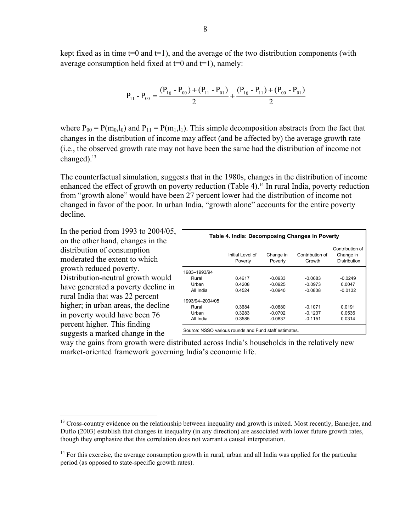kept fixed as in time  $t=0$  and  $t=1$ ), and the average of the two distribution components (with average consumption held fixed at  $t=0$  and  $t=1$ ), namely:

$$
P_{11} - P_{00} = \frac{(P_{10} - P_{00}) + (P_{11} - P_{01})}{2} + \frac{(P_{10} - P_{11}) + (P_{00} - P_{01})}{2}
$$

where  $P_{00} = P(m_0, l_0)$  and  $P_{11} = P(m_1, l_1)$ . This simple decomposition abstracts from the fact that changes in the distribution of income may affect (and be affected by) the average growth rate (i.e., the observed growth rate may not have been the same had the distribution of income not changed).<sup>13</sup>

The counterfactual simulation, suggests that in the 1980s, changes in the distribution of income enhanced the effect of growth on poverty reduction (Table 4).<sup>14</sup> In rural India, poverty reduction from "growth alone" would have been 27 percent lower had the distribution of income not changed in favor of the poor. In urban India, "growth alone" accounts for the entire poverty decline.

In the period from 1993 to 2004/05, on the other hand, changes in the distribution of consumption moderated the extent to which growth reduced poverty. Distribution-neutral growth would have generated a poverty decline in rural India that was 22 percent higher; in urban areas, the decline in poverty would have been 76 percent higher. This finding suggests a marked change in the

 $\overline{a}$ 

|                 | Table 4. India: Decomposing Changes in Poverty |                      |                           |                                                     |
|-----------------|------------------------------------------------|----------------------|---------------------------|-----------------------------------------------------|
|                 | Initial Level of<br>Poverty                    | Change in<br>Poverty | Contribution of<br>Growth | Contribution of<br>Change in<br><b>Distribution</b> |
| 1983-1993/94    |                                                |                      |                           |                                                     |
| Rural           | 0.4617                                         | $-0.0933$            | $-0.0683$                 | $-0.0249$                                           |
| Urban           | 0.4208                                         | $-0.0925$            | $-0.0973$                 | 0.0047                                              |
| All India       | 0.4524                                         | $-0.0940$            | $-0.0808$                 | $-0.0132$                                           |
| 1993/94-2004/05 |                                                |                      |                           |                                                     |
| Rural           | 0.3684                                         | $-0.0880$            | $-0.1071$                 | 0.0191                                              |
| Urban           | 0.3283                                         | $-0.0702$            | $-0.1237$                 | 0.0536                                              |
| All India       | 0.3585                                         | $-0.0837$            | $-0.1151$                 | 0.0314                                              |

way the gains from growth were distributed across India's households in the relatively new market-oriented framework governing India's economic life.

<sup>&</sup>lt;sup>13</sup> Cross-country evidence on the relationship between inequality and growth is mixed. Most recently, Banerjee, and Duflo (2003) establish that changes in inequality (in any direction) are associated with lower future growth rates, though they emphasize that this correlation does not warrant a causal interpretation.

 $14$  For this exercise, the average consumption growth in rural, urban and all India was applied for the particular period (as opposed to state-specific growth rates).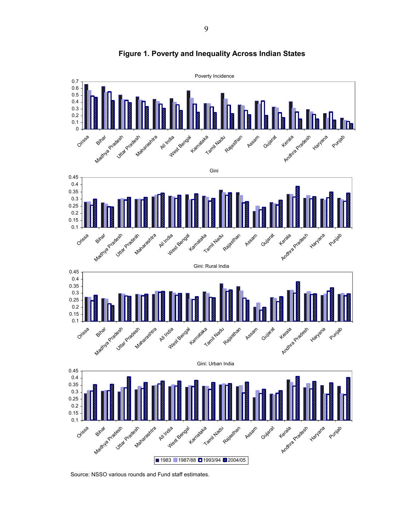

#### **Figure 1. Poverty and Inequality Across Indian States**

Source: NSSO various rounds and Fund staff estimates.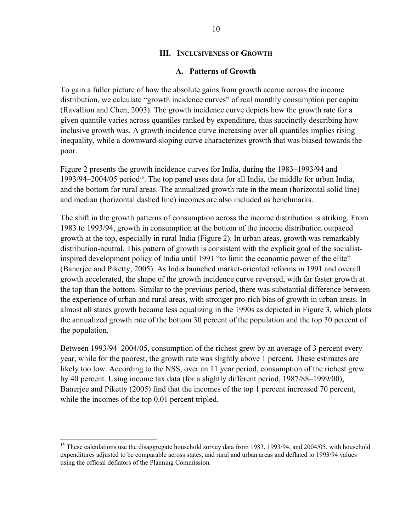## **III. INCLUSIVENESS OF GROWTH**

#### **A. Patterns of Growth**

To gain a fuller picture of how the absolute gains from growth accrue across the income distribution, we calculate "growth incidence curves" of real monthly consumption per capita (Ravallion and Chen, 2003). The growth incidence curve depicts how the growth rate for a given quantile varies across quantiles ranked by expenditure, thus succinctly describing how inclusive growth was. A growth incidence curve increasing over all quantiles implies rising inequality, while a downward-sloping curve characterizes growth that was biased towards the poor.

Figure 2 presents the growth incidence curves for India, during the 1983–1993/94 and  $1993/94-2004/05$  period<sup>15</sup>. The top panel uses data for all India, the middle for urban India, and the bottom for rural areas. The annualized growth rate in the mean (horizontal solid line) and median (horizontal dashed line) incomes are also included as benchmarks.

The shift in the growth patterns of consumption across the income distribution is striking. From 1983 to 1993/94, growth in consumption at the bottom of the income distribution outpaced growth at the top, especially in rural India (Figure 2). In urban areas, growth was remarkably distribution-neutral. This pattern of growth is consistent with the explicit goal of the socialistinspired development policy of India until 1991 "to limit the economic power of the elite" (Banerjee and Piketty, 2005). As India launched market-oriented reforms in 1991 and overall growth accelerated, the shape of the growth incidence curve reversed, with far faster growth at the top than the bottom. Similar to the previous period, there was substantial difference between the experience of urban and rural areas, with stronger pro-rich bias of growth in urban areas. In almost all states growth became less equalizing in the 1990s as depicted in Figure 3, which plots the annualized growth rate of the bottom 30 percent of the population and the top 30 percent of the population.

Between 1993/94–2004/05, consumption of the richest grew by an average of 3 percent every year, while for the poorest, the growth rate was slightly above 1 percent. These estimates are likely too low. According to the NSS, over an 11 year period, consumption of the richest grew by 40 percent. Using income tax data (for a slightly different period, 1987/88–1999/00), Banerjee and Piketty (2005) find that the incomes of the top 1 percent increased 70 percent, while the incomes of the top 0.01 percent tripled.

 $\overline{a}$ 

<sup>&</sup>lt;sup>15</sup> These calculations use the disaggregate household survey data from 1983, 1993/94, and 2004/05, with household expenditures adjusted to be comparable across states, and rural and urban areas and deflated to 1993/94 values using the official deflators of the Planning Commission.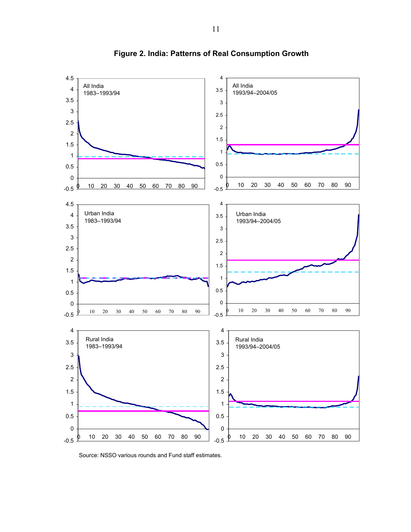

**Figure 2. India: Patterns of Real Consumption Growth**

Source: NSSO various rounds and Fund staff estimates.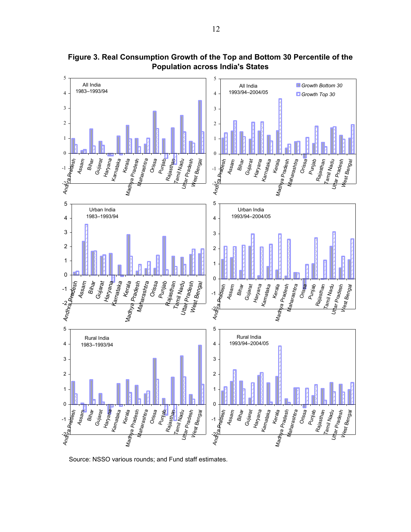

**Figure 3. Real Consumption Growth of the Top and Bottom 30 Percentile of the Population across India's States**

Source: NSSO various rounds; and Fund staff estimates.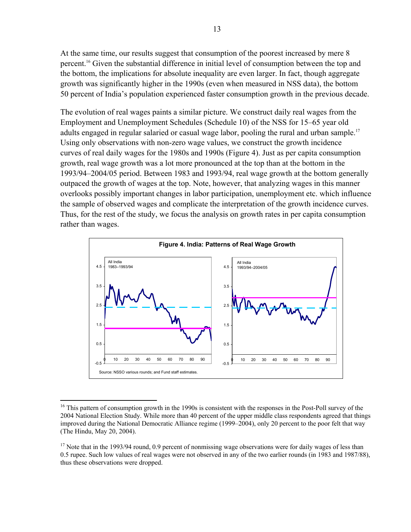At the same time, our results suggest that consumption of the poorest increased by mere 8 percent.16 Given the substantial difference in initial level of consumption between the top and the bottom, the implications for absolute inequality are even larger. In fact, though aggregate growth was significantly higher in the 1990s (even when measured in NSS data), the bottom 50 percent of India's population experienced faster consumption growth in the previous decade.

The evolution of real wages paints a similar picture. We construct daily real wages from the Employment and Unemployment Schedules (Schedule 10) of the NSS for 15–65 year old adults engaged in regular salaried or casual wage labor, pooling the rural and urban sample.<sup>17</sup> Using only observations with non-zero wage values, we construct the growth incidence curves of real daily wages for the 1980s and 1990s (Figure 4). Just as per capita consumption growth, real wage growth was a lot more pronounced at the top than at the bottom in the 1993/94–2004/05 period. Between 1983 and 1993/94, real wage growth at the bottom generally outpaced the growth of wages at the top. Note, however, that analyzing wages in this manner overlooks possibly important changes in labor participation, unemployment etc. which influence the sample of observed wages and complicate the interpretation of the growth incidence curves. Thus, for the rest of the study, we focus the analysis on growth rates in per capita consumption rather than wages.



<sup>&</sup>lt;sup>16</sup> This pattern of consumption growth in the 1990s is consistent with the responses in the Post-Poll survey of the 2004 National Election Study. While more than 40 percent of the upper middle class respondents agreed that things improved during the National Democratic Alliance regime (1999–2004), only 20 percent to the poor felt that way (The Hindu, May 20, 2004).

 $\overline{a}$ 

 $17$  Note that in the 1993/94 round, 0.9 percent of nonmissing wage observations were for daily wages of less than 0.5 rupee. Such low values of real wages were not observed in any of the two earlier rounds (in 1983 and 1987/88), thus these observations were dropped.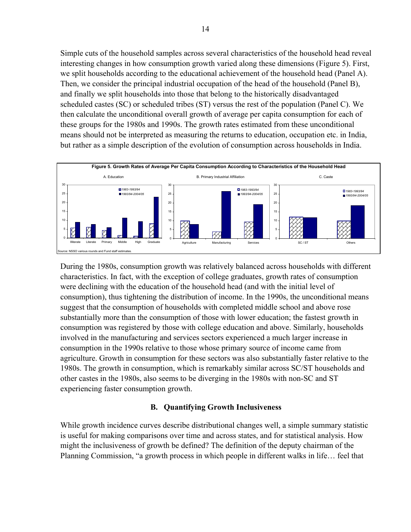Simple cuts of the household samples across several characteristics of the household head reveal interesting changes in how consumption growth varied along these dimensions (Figure 5). First, we split households according to the educational achievement of the household head (Panel A). Then, we consider the principal industrial occupation of the head of the household (Panel B), and finally we split households into those that belong to the historically disadvantaged scheduled castes (SC) or scheduled tribes (ST) versus the rest of the population (Panel C). We then calculate the unconditional overall growth of average per capita consumption for each of these groups for the 1980s and 1990s. The growth rates estimated from these unconditional means should not be interpreted as measuring the returns to education, occupation etc. in India, but rather as a simple description of the evolution of consumption across households in India.



During the 1980s, consumption growth was relatively balanced across households with different characteristics. In fact, with the exception of college graduates, growth rates of consumption were declining with the education of the household head (and with the initial level of consumption), thus tightening the distribution of income. In the 1990s, the unconditional means suggest that the consumption of households with completed middle school and above rose substantially more than the consumption of those with lower education; the fastest growth in consumption was registered by those with college education and above. Similarly, households involved in the manufacturing and services sectors experienced a much larger increase in consumption in the 1990s relative to those whose primary source of income came from agriculture. Growth in consumption for these sectors was also substantially faster relative to the 1980s. The growth in consumption, which is remarkably similar across SC/ST households and other castes in the 1980s, also seems to be diverging in the 1980s with non-SC and ST experiencing faster consumption growth.

# **B. Quantifying Growth Inclusiveness**

While growth incidence curves describe distributional changes well, a simple summary statistic is useful for making comparisons over time and across states, and for statistical analysis. How might the inclusiveness of growth be defined? The definition of the deputy chairman of the Planning Commission, "a growth process in which people in different walks in life… feel that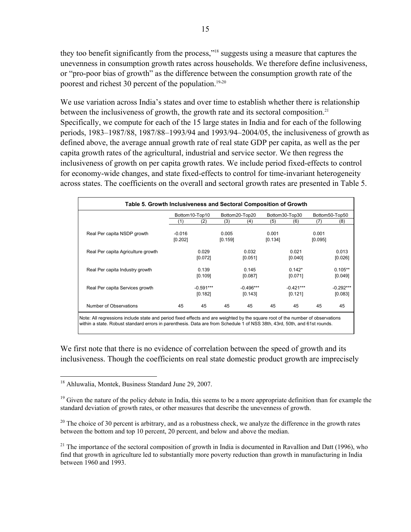they too benefit significantly from the process,"18 suggests using a measure that captures the unevenness in consumption growth rates across households. We therefore define inclusiveness, or "pro-poor bias of growth" as the difference between the consumption growth rate of the poorest and richest 30 percent of the population.<sup>19,20</sup>

We use variation across India's states and over time to establish whether there is relationship between the inclusiveness of growth, the growth rate and its sectoral composition.<sup>21</sup> Specifically, we compute for each of the 15 large states in India and for each of the following periods, 1983–1987/88, 1987/88–1993/94 and 1993/94–2004/05, the inclusiveness of growth as defined above, the average annual growth rate of real state GDP per capita, as well as the per capita growth rates of the agricultural, industrial and service sector. We then regress the inclusiveness of growth on per capita growth rates. We include period fixed-effects to control for economy-wide changes, and state fixed-effects to control for time-invariant heterogeneity across states. The coefficients on the overall and sectoral growth rates are presented in Table 5.

| Table 5. Growth Inclusiveness and Sectoral Composition of Growth |                     |                        |                  |                        |                  |                        |                  |                        |
|------------------------------------------------------------------|---------------------|------------------------|------------------|------------------------|------------------|------------------------|------------------|------------------------|
|                                                                  |                     | Bottom10-Top10         |                  | Bottom20-Top20         |                  | Bottom30-Top30         |                  | Bottom50-Top50         |
|                                                                  | (1)                 | (2)                    | (3)              | (4)                    | (5)              | (6)                    | (7)              | (8)                    |
| Real Per capita NSDP growth                                      | $-0.016$<br>[0.202] |                        | 0.005<br>[0.159] |                        | 0.001<br>[0.134] |                        | 0.001<br>[0.095] |                        |
| Real Per capita Agriculture growth                               |                     | 0.029<br>[0.072]       |                  | 0.032<br>[0.051]       |                  | 0.021<br>[0.040]       |                  | 0.013<br>[0.026]       |
| Real Per capita Industry growth                                  |                     | 0.139<br>[0.109]       |                  | 0.145<br>[0.087]       |                  | $0.142*$<br>[0.071]    |                  | $0.105**$<br>[0.049]   |
| Real Per capita Services growth                                  |                     | $-0.591***$<br>[0.182] |                  | $-0.496***$<br>[0.143] |                  | $-0.421***$<br>[0.121] |                  | $-0.292***$<br>[0.083] |
| Number of Observations                                           | 45                  | 45                     | 45               | 45                     | 45               | 45                     | 45               | 45                     |

Note: All regressions include state and period fixed effects and are weighted by the square root of the number of observations within a state. Robust standard errors in parenthesis. Data are from Schedule 1 of NSS 38th, 43rd, 50th, and 61st rounds.

We first note that there is no evidence of correlation between the speed of growth and its inclusiveness. Though the coefficients on real state domestic product growth are imprecisely

 $\overline{a}$ <sup>18</sup> Ahluwalia, Montek, Business Standard June 29, 2007.

 $19$  Given the nature of the policy debate in India, this seems to be a more appropriate definition than for example the standard deviation of growth rates, or other measures that describe the unevenness of growth.

<sup>&</sup>lt;sup>20</sup> The choice of 30 percent is arbitrary, and as a robustness check, we analyze the difference in the growth rates between the bottom and top 10 percent, 20 percent, and below and above the median.

<sup>&</sup>lt;sup>21</sup> The importance of the sectoral composition of growth in India is documented in Ravallion and Datt (1996), who find that growth in agriculture led to substantially more poverty reduction than growth in manufacturing in India between 1960 and 1993.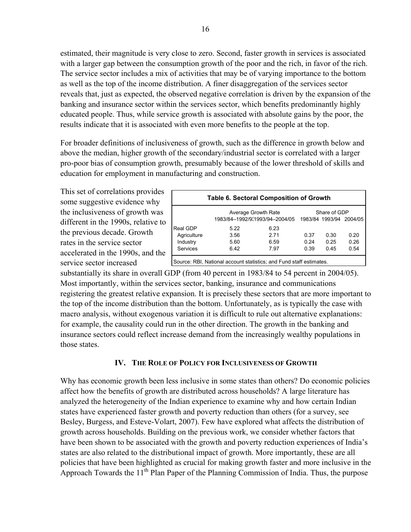estimated, their magnitude is very close to zero. Second, faster growth in services is associated with a larger gap between the consumption growth of the poor and the rich, in favor of the rich. The service sector includes a mix of activities that may be of varying importance to the bottom as well as the top of the income distribution. A finer disaggregation of the services sector reveals that, just as expected, the observed negative correlation is driven by the expansion of the banking and insurance sector within the services sector, which benefits predominantly highly educated people. Thus, while service growth is associated with absolute gains by the poor, the results indicate that it is associated with even more benefits to the people at the top.

For broader definitions of inclusiveness of growth, such as the difference in growth below and above the median, higher growth of the secondary/industrial sector is correlated with a larger pro-poor bias of consumption growth, presumably because of the lower threshold of skills and education for employment in manufacturing and construction.

This set of correlations provides some suggestive evidence why the inclusiveness of growth was different in the 1990s, relative to the previous decade. Growth rates in the service sector accelerated in the 1990s, and the service sector increased

|                 | <b>Table 6. Sectoral Composition of Growth</b>                      |                                |      |              |                         |
|-----------------|---------------------------------------------------------------------|--------------------------------|------|--------------|-------------------------|
|                 | Average Growth Rate                                                 |                                |      | Share of GDP |                         |
|                 |                                                                     | 1983/84-1992/9:1993/94-2004/05 |      |              | 1983/84 1993/94 2004/05 |
| Real GDP        | 5.22                                                                | 6.23                           |      |              |                         |
| Agriculture     | 3.56                                                                | 271                            | 0.37 | 0.30         | 0.20                    |
| Industry        | 5.60                                                                | 6.59                           | 0.24 | 0.25         | 0.26                    |
| <b>Services</b> | 6.42                                                                | 7.97                           | 0.39 | 0.45         | 0.54                    |
|                 | Source: RBI, National account statistics; and Fund staff estimates. |                                |      |              |                         |

substantially its share in overall GDP (from 40 percent in 1983/84 to 54 percent in 2004/05). Most importantly, within the services sector, banking, insurance and communications registering the greatest relative expansion. It is precisely these sectors that are more important to the top of the income distribution than the bottom. Unfortunately, as is typically the case with macro analysis, without exogenous variation it is difficult to rule out alternative explanations: for example, the causality could run in the other direction. The growth in the banking and insurance sectors could reflect increase demand from the increasingly wealthy populations in those states.

## **IV. THE ROLE OF POLICY FOR INCLUSIVENESS OF GROWTH**

Why has economic growth been less inclusive in some states than others? Do economic policies affect how the benefits of growth are distributed across households? A large literature has analyzed the heterogeneity of the Indian experience to examine why and how certain Indian states have experienced faster growth and poverty reduction than others (for a survey, see Besley, Burgess, and Esteve-Volart, 2007). Few have explored what affects the distribution of growth across households. Building on the previous work, we consider whether factors that have been shown to be associated with the growth and poverty reduction experiences of India's states are also related to the distributional impact of growth. More importantly, these are all policies that have been highlighted as crucial for making growth faster and more inclusive in the Approach Towards the  $11<sup>th</sup>$  Plan Paper of the Planning Commission of India. Thus, the purpose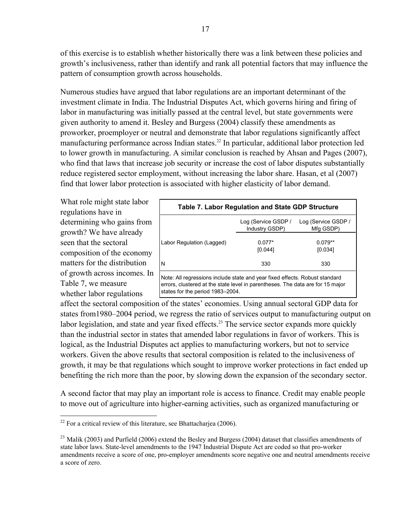of this exercise is to establish whether historically there was a link between these policies and growth's inclusiveness, rather than identify and rank all potential factors that may influence the pattern of consumption growth across households.

Numerous studies have argued that labor regulations are an important determinant of the investment climate in India. The Industrial Disputes Act, which governs hiring and firing of labor in manufacturing was initially passed at the central level, but state governments were given authority to amend it. Besley and Burgess (2004) classify these amendments as proworker, proemployer or neutral and demonstrate that labor regulations significantly affect manufacturing performance across Indian states.<sup>22</sup> In particular, additional labor protection led to lower growth in manufacturing. A similar conclusion is reached by Ahsan and Pages (2007), who find that laws that increase job security or increase the cost of labor disputes substantially reduce registered sector employment, without increasing the labor share. Hasan, et al (2007) find that lower labor protection is associated with higher elasticity of labor demand.

What role might state labor regulations have in determining who gains from growth? We have already seen that the sectoral composition of the economy matters for the distribution of growth across incomes. In Table 7, we measure whether labor regulations

 $\overline{a}$ 

|                                                                                                                                                                                                   | Table 7. Labor Regulation and State GDP Structure |                                  |
|---------------------------------------------------------------------------------------------------------------------------------------------------------------------------------------------------|---------------------------------------------------|----------------------------------|
|                                                                                                                                                                                                   | Log (Service GSDP /<br>Industry GSDP)             | Log (Service GSDP /<br>Mfg GSDP) |
| Labor Regulation (Lagged)                                                                                                                                                                         | $0.077*$<br>[0.044]                               | $0.079**$<br>[0.034]             |
| N                                                                                                                                                                                                 | 330                                               | 330                              |
| Note: All regressions include state and year fixed effects. Robust standard<br>errors, clustered at the state level in parentheses. The data are for 15 major<br>states for the period 1983-2004. |                                                   |                                  |

affect the sectoral composition of the states' economies. Using annual sectoral GDP data for states from1980–2004 period, we regress the ratio of services output to manufacturing output on labor legislation, and state and year fixed effects.<sup>23</sup> The service sector expands more quickly than the industrial sector in states that amended labor regulations in favor of workers. This is logical, as the Industrial Disputes act applies to manufacturing workers, but not to service workers. Given the above results that sectoral composition is related to the inclusiveness of growth, it may be that regulations which sought to improve worker protections in fact ended up benefiting the rich more than the poor, by slowing down the expansion of the secondary sector.

A second factor that may play an important role is access to finance. Credit may enable people to move out of agriculture into higher-earning activities, such as organized manufacturing or

 $22$  For a critical review of this literature, see Bhattacharjea (2006).

<sup>&</sup>lt;sup>23</sup> Malik (2003) and Purfield (2006) extend the Besley and Burgess (2004) dataset that classifies amendments of state labor laws. State-level amendments to the 1947 Industrial Dispute Act are coded so that pro-worker amendments receive a score of one, pro-employer amendments score negative one and neutral amendments receive a score of zero.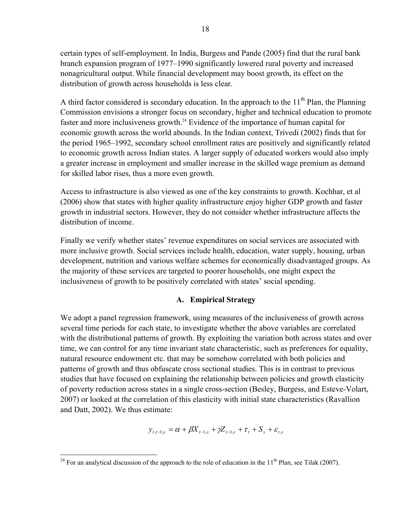certain types of self-employment. In India, Burgess and Pande (2005) find that the rural bank branch expansion program of 1977–1990 significantly lowered rural poverty and increased nonagricultural output.While financial development may boost growth, its effect on the distribution of growth across households is less clear.

A third factor considered is secondary education. In the approach to the  $11<sup>th</sup>$  Plan, the Planning Commission envisions a stronger focus on secondary, higher and technical education to promote faster and more inclusiveness growth.<sup>24</sup> Evidence of the importance of human capital for economic growth across the world abounds. In the Indian context, Trivedi (2002) finds that for the period 1965–1992, secondary school enrollment rates are positively and significantly related to economic growth across Indian states. A larger supply of educated workers would also imply a greater increase in employment and smaller increase in the skilled wage premium as demand for skilled labor rises, thus a more even growth.

Access to infrastructure is also viewed as one of the key constraints to growth. Kochhar, et al (2006) show that states with higher quality infrastructure enjoy higher GDP growth and faster growth in industrial sectors. However, they do not consider whether infrastructure affects the distribution of income.

Finally we verify whether states' revenue expenditures on social services are associated with more inclusive growth. Social services include health, education, water supply, housing, urban development, nutrition and various welfare schemes for economically disadvantaged groups. As the majority of these services are targeted to poorer households, one might expect the inclusiveness of growth to be positively correlated with states' social spending.

# **A. Empirical Strategy**

We adopt a panel regression framework, using measures of the inclusiveness of growth across several time periods for each state, to investigate whether the above variables are correlated with the distributional patterns of growth. By exploiting the variation both across states and over time, we can control for any time invariant state characteristic, such as preferences for equality, natural resource endowment etc. that may be somehow correlated with both policies and patterns of growth and thus obfuscate cross sectional studies. This is in contrast to previous studies that have focused on explaining the relationship between policies and growth elasticity of poverty reduction across states in a single cross-section (Besley, Burgess, and Esteve-Volart, 2007) or looked at the correlation of this elasticity with initial state characteristics (Ravallion and Datt, 2002). We thus estimate:

$$
y_{t,t-1,s} = \alpha + \beta X_{t-1,s} + \gamma Z_{t-1,s} + \tau_t + S_s + \varepsilon_{t,s}
$$

 $\overline{a}$ <sup>24</sup> For an analytical discussion of the approach to the role of education in the  $11<sup>th</sup>$  Plan, see Tilak (2007).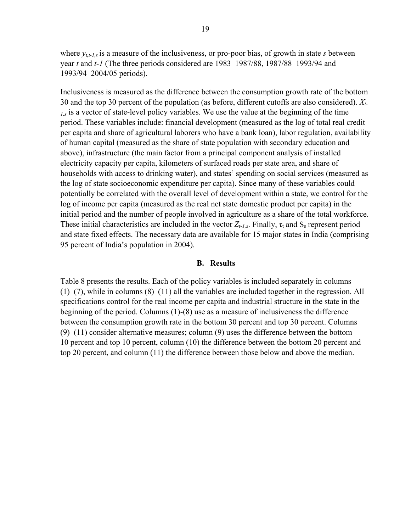where  $y_{t,t-1,s}$  is a measure of the inclusiveness, or pro-poor bias, of growth in state *s* between year *t* and *t-1* (The three periods considered are 1983–1987/88, 1987/88–1993/94 and 1993/94–2004/05 periods).

Inclusiveness is measured as the difference between the consumption growth rate of the bottom 30 and the top 30 percent of the population (as before, different cutoffs are also considered). *Xt-1,s* is a vector of state-level policy variables. We use the value at the beginning of the time period. These variables include: financial development (measured as the log of total real credit per capita and share of agricultural laborers who have a bank loan), labor regulation, availability of human capital (measured as the share of state population with secondary education and above), infrastructure (the main factor from a principal component analysis of installed electricity capacity per capita, kilometers of surfaced roads per state area, and share of households with access to drinking water), and states' spending on social services (measured as the log of state socioeconomic expenditure per capita). Since many of these variables could potentially be correlated with the overall level of development within a state, we control for the log of income per capita (measured as the real net state domestic product per capita) in the initial period and the number of people involved in agriculture as a share of the total workforce. These initial characteristics are included in the vector  $Z_{t-l,s}$ . Finally,  $\tau_t$  and  $S_s$  represent period and state fixed effects. The necessary data are available for 15 major states in India (comprising 95 percent of India's population in 2004).

#### **B. Results**

Table 8 presents the results. Each of the policy variables is included separately in columns (1)–(7), while in columns (8)–(11) all the variables are included together in the regression. All specifications control for the real income per capita and industrial structure in the state in the beginning of the period. Columns (1)-(8) use as a measure of inclusiveness the difference between the consumption growth rate in the bottom 30 percent and top 30 percent. Columns (9)–(11) consider alternative measures; column (9) uses the difference between the bottom 10 percent and top 10 percent, column (10) the difference between the bottom 20 percent and top 20 percent, and column (11) the difference between those below and above the median.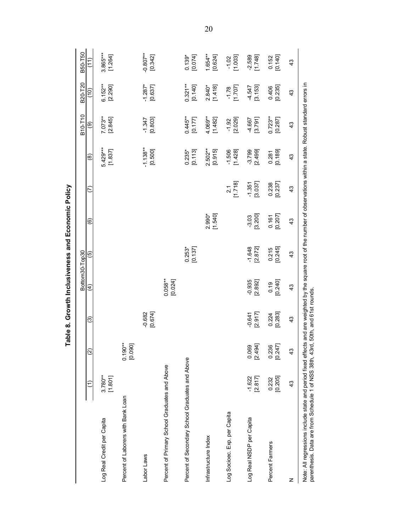|                                                                                                                                                                                                                                                             |                       |                       |                     |                       | Bottom30-Top30      |                        |                             |                       | B10-T10              | B20-T20               | B50-T50               |
|-------------------------------------------------------------------------------------------------------------------------------------------------------------------------------------------------------------------------------------------------------------|-----------------------|-----------------------|---------------------|-----------------------|---------------------|------------------------|-----------------------------|-----------------------|----------------------|-----------------------|-----------------------|
|                                                                                                                                                                                                                                                             |                       | $\widehat{\omega}$    | ම                   | E                     | ම                   | $\widehat{\mathbf{e}}$ | ε                           | @                     | ම                    | $\widehat{c}$         | $\widehat{\tau}$      |
| Log Real Credit per Capita                                                                                                                                                                                                                                  | $3.780***$<br>[1.801] |                       |                     |                       |                     |                        |                             | 5.429***<br>[1.837]   | $7.073**$<br>[2.845] | $6.152***$<br>[2.290] | 3.865***<br>[1.264]   |
| Percent of Laborers with Bank Loan                                                                                                                                                                                                                          |                       | $0.190***$<br>[0.090] |                     |                       |                     |                        |                             |                       |                      |                       |                       |
| Labor Laws                                                                                                                                                                                                                                                  |                       |                       | $-0.682$<br>[0.674] |                       |                     |                        |                             | $-1.138**$<br>[0.500] | $-1.347$<br>[0.803]  | $-1.287$ *<br>[0.637] | $-0.807**$<br>[0.342] |
| Percent of Primary School Graduates and Above                                                                                                                                                                                                               |                       |                       |                     | $0.058***$<br>[0.024] |                     |                        |                             |                       |                      |                       |                       |
| Percent of Secondary School Graduates and Above                                                                                                                                                                                                             |                       |                       |                     |                       | $0.253*$<br>[0.137] |                        |                             | $0.235*$<br>[0.113]   | $0.445**$<br>[0.177] | $0.321**$<br>[0.140]  | [0.074]<br>$0.139*$   |
| Infrastructure Index                                                                                                                                                                                                                                        |                       |                       |                     |                       |                     | 2.990*<br>[1.540]      |                             | $2.502**$<br>[0.915]  | 4.069**<br>[1.482]   | $2.840*$<br>[1.418]   | 1.654**<br>[0.624]    |
| Log Socioec. Exp. per Capita                                                                                                                                                                                                                                |                       |                       |                     |                       |                     |                        | [1.718]<br>$\overline{2.1}$ | [1.428]<br>$-1.506$   | [2.029]<br>$-1.92$   | [1.707]<br>$-1.78$    | [1.003]<br>$-1.02$    |
| Log Real NSDP per Capita                                                                                                                                                                                                                                    | [2.817]<br>$-1.622$   | [2.494]<br>0.069      | [2.917]<br>$-0.641$ | [2.892]<br>$-0.935$   | [2.872]<br>$-1.648$ | [3.200]<br>$-3.03$     | [3.037]<br>$-1.351$         | [2.499]<br>$-3.799$   | [3.791]<br>-4.667    | [3.153]<br>$-4.547$   | [1.748]<br>$-2.589$   |
| Percent Farmers                                                                                                                                                                                                                                             | [0.205]<br>0.232      | 0.236<br>[0.247]      | [0.283]<br>0.224    | [0.240]<br>0.19       | [0.245]<br>0.215    | [0.207]<br>0.161       | [0.237]<br>0.238            | [0.189]<br>0.281      | $0.723**$<br>[0.287] | [0.235]<br>0.406      | [0.140]<br>0.152      |
| z                                                                                                                                                                                                                                                           | $\frac{3}{2}$         | 43                    | $\frac{3}{2}$       | $\frac{3}{2}$         | $\frac{3}{2}$       | $\frac{3}{2}$          | $\frac{3}{2}$               | $\frac{3}{2}$         | 43                   | $\frac{4}{3}$         | $\frac{4}{3}$         |
| Note: All regressions include state and period fixed effects and are weighted by the square root of the number of observations within a state. Robust standard errors in<br>parenthesis. Data are from Schedule 1 of NSS 38th, 43rd, 50th, and 61st rounds. |                       |                       |                     |                       |                     |                        |                             |                       |                      |                       |                       |

20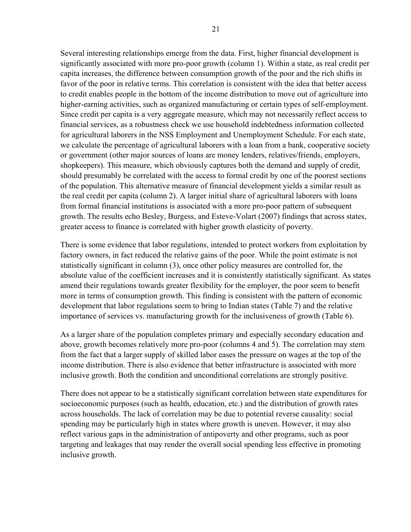Several interesting relationships emerge from the data. First, higher financial development is significantly associated with more pro-poor growth (column 1). Within a state, as real credit per capita increases, the difference between consumption growth of the poor and the rich shifts in favor of the poor in relative terms. This correlation is consistent with the idea that better access to credit enables people in the bottom of the income distribution to move out of agriculture into higher-earning activities, such as organized manufacturing or certain types of self-employment. Since credit per capita is a very aggregate measure, which may not necessarily reflect access to financial services, as a robustness check we use household indebtedness information collected for agricultural laborers in the NSS Employment and Unemployment Schedule. For each state, we calculate the percentage of agricultural laborers with a loan from a bank, cooperative society or government (other major sources of loans are money lenders, relatives/friends, employers, shopkeepers). This measure, which obviously captures both the demand and supply of credit, should presumably be correlated with the access to formal credit by one of the poorest sections of the population. This alternative measure of financial development yields a similar result as the real credit per capita (column 2). A larger initial share of agricultural laborers with loans from formal financial institutions is associated with a more pro-poor pattern of subsequent growth. The results echo Besley, Burgess, and Esteve-Volart (2007) findings that across states, greater access to finance is correlated with higher growth elasticity of poverty.

There is some evidence that labor regulations, intended to protect workers from exploitation by factory owners, in fact reduced the relative gains of the poor. While the point estimate is not statistically significant in column (3), once other policy measures are controlled for, the absolute value of the coefficient increases and it is consistently statistically significant. As states amend their regulations towards greater flexibility for the employer, the poor seem to benefit more in terms of consumption growth. This finding is consistent with the pattern of economic development that labor regulations seem to bring to Indian states (Table 7) and the relative importance of services vs. manufacturing growth for the inclusiveness of growth (Table 6).

As a larger share of the population completes primary and especially secondary education and above, growth becomes relatively more pro-poor (columns 4 and 5). The correlation may stem from the fact that a larger supply of skilled labor eases the pressure on wages at the top of the income distribution. There is also evidence that better infrastructure is associated with more inclusive growth. Both the condition and unconditional correlations are strongly positive.

There does not appear to be a statistically significant correlation between state expenditures for socioeconomic purposes (such as health, education, etc.) and the distribution of growth rates across households. The lack of correlation may be due to potential reverse causality: social spending may be particularly high in states where growth is uneven. However, it may also reflect various gaps in the administration of antipoverty and other programs, such as poor targeting and leakages that may render the overall social spending less effective in promoting inclusive growth.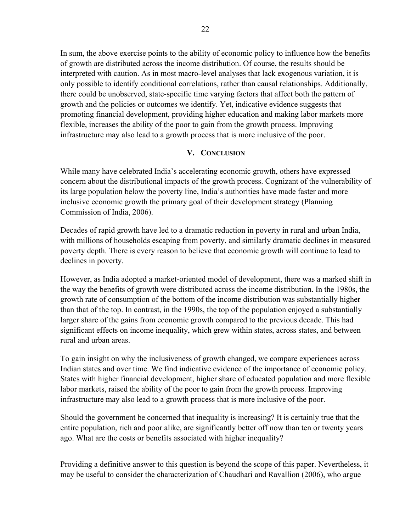In sum, the above exercise points to the ability of economic policy to influence how the benefits of growth are distributed across the income distribution. Of course, the results should be interpreted with caution. As in most macro-level analyses that lack exogenous variation, it is only possible to identify conditional correlations, rather than causal relationships. Additionally, there could be unobserved, state-specific time varying factors that affect both the pattern of growth and the policies or outcomes we identify. Yet, indicative evidence suggests that promoting financial development, providing higher education and making labor markets more flexible, increases the ability of the poor to gain from the growth process. Improving infrastructure may also lead to a growth process that is more inclusive of the poor.

# **V. CONCLUSION**

While many have celebrated India's accelerating economic growth, others have expressed concern about the distributional impacts of the growth process. Cognizant of the vulnerability of its large population below the poverty line, India's authorities have made faster and more inclusive economic growth the primary goal of their development strategy (Planning Commission of India, 2006).

Decades of rapid growth have led to a dramatic reduction in poverty in rural and urban India, with millions of households escaping from poverty, and similarly dramatic declines in measured poverty depth. There is every reason to believe that economic growth will continue to lead to declines in poverty.

However, as India adopted a market-oriented model of development, there was a marked shift in the way the benefits of growth were distributed across the income distribution. In the 1980s, the growth rate of consumption of the bottom of the income distribution was substantially higher than that of the top. In contrast, in the 1990s, the top of the population enjoyed a substantially larger share of the gains from economic growth compared to the previous decade. This had significant effects on income inequality, which grew within states, across states, and between rural and urban areas.

To gain insight on why the inclusiveness of growth changed, we compare experiences across Indian states and over time. We find indicative evidence of the importance of economic policy. States with higher financial development, higher share of educated population and more flexible labor markets, raised the ability of the poor to gain from the growth process. Improving infrastructure may also lead to a growth process that is more inclusive of the poor.

Should the government be concerned that inequality is increasing? It is certainly true that the entire population, rich and poor alike, are significantly better off now than ten or twenty years ago. What are the costs or benefits associated with higher inequality?

Providing a definitive answer to this question is beyond the scope of this paper. Nevertheless, it may be useful to consider the characterization of Chaudhari and Ravallion (2006), who argue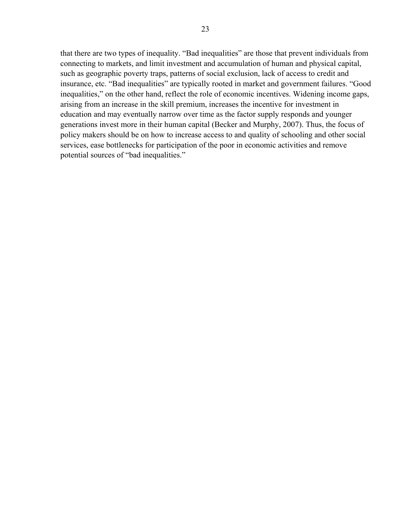that there are two types of inequality. "Bad inequalities" are those that prevent individuals from connecting to markets, and limit investment and accumulation of human and physical capital, such as geographic poverty traps, patterns of social exclusion, lack of access to credit and insurance, etc. "Bad inequalities" are typically rooted in market and government failures. "Good inequalities," on the other hand, reflect the role of economic incentives. Widening income gaps, arising from an increase in the skill premium, increases the incentive for investment in education and may eventually narrow over time as the factor supply responds and younger generations invest more in their human capital (Becker and Murphy, 2007). Thus, the focus of policy makers should be on how to increase access to and quality of schooling and other social services, ease bottlenecks for participation of the poor in economic activities and remove potential sources of "bad inequalities."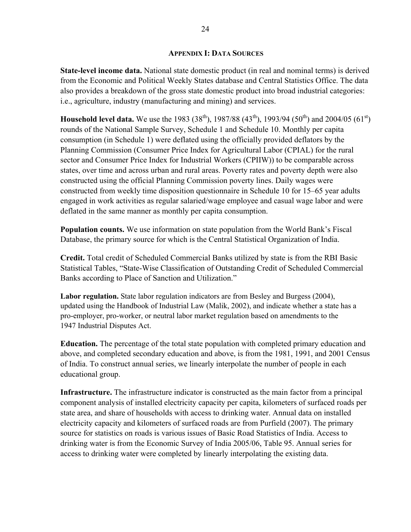## **APPENDIX I: DATA SOURCES**

**State-level income data.** National state domestic product (in real and nominal terms) is derived from the Economic and Political Weekly States database and Central Statistics Office. The data also provides a breakdown of the gross state domestic product into broad industrial categories: i.e., agriculture, industry (manufacturing and mining) and services.

**Household level data.** We use the 1983 (38<sup>th</sup>), 1987/88 (43<sup>th</sup>), 1993/94 (50<sup>th</sup>) and 2004/05 (61<sup>st</sup>) rounds of the National Sample Survey, Schedule 1 and Schedule 10. Monthly per capita consumption (in Schedule 1) were deflated using the officially provided deflators by the Planning Commission (Consumer Price Index for Agricultural Labor (CPIAL) for the rural sector and Consumer Price Index for Industrial Workers (CPIIW)) to be comparable across states, over time and across urban and rural areas. Poverty rates and poverty depth were also constructed using the official Planning Commission poverty lines. Daily wages were constructed from weekly time disposition questionnaire in Schedule 10 for 15–65 year adults engaged in work activities as regular salaried/wage employee and casual wage labor and were deflated in the same manner as monthly per capita consumption.

**Population counts.** We use information on state population from the World Bank's Fiscal Database, the primary source for which is the Central Statistical Organization of India.

**Credit.** Total credit of Scheduled Commercial Banks utilized by state is from the RBI Basic Statistical Tables, "State-Wise Classification of Outstanding Credit of Scheduled Commercial Banks according to Place of Sanction and Utilization."

**Labor regulation.** State labor regulation indicators are from Besley and Burgess (2004), updated using the Handbook of Industrial Law (Malik, 2002), and indicate whether a state has a pro-employer, pro-worker, or neutral labor market regulation based on amendments to the 1947 Industrial Disputes Act.

**Education.** The percentage of the total state population with completed primary education and above, and completed secondary education and above, is from the 1981, 1991, and 2001 Census of India. To construct annual series, we linearly interpolate the number of people in each educational group.

**Infrastructure.** The infrastructure indicator is constructed as the main factor from a principal component analysis of installed electricity capacity per capita, kilometers of surfaced roads per state area, and share of households with access to drinking water. Annual data on installed electricity capacity and kilometers of surfaced roads are from Purfield (2007). The primary source for statistics on roads is various issues of Basic Road Statistics of India. Access to drinking water is from the Economic Survey of India 2005/06, Table 95. Annual series for access to drinking water were completed by linearly interpolating the existing data.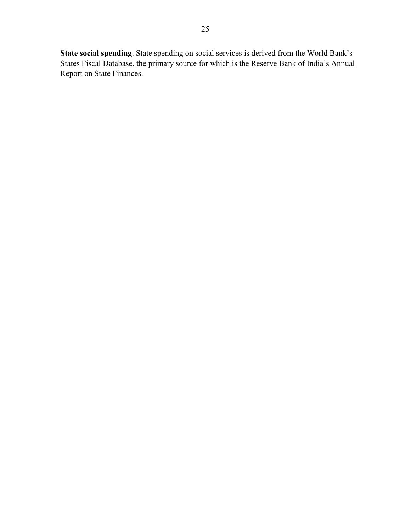**State social spending**. State spending on social services is derived from the World Bank's States Fiscal Database, the primary source for which is the Reserve Bank of India's Annual Report on State Finances.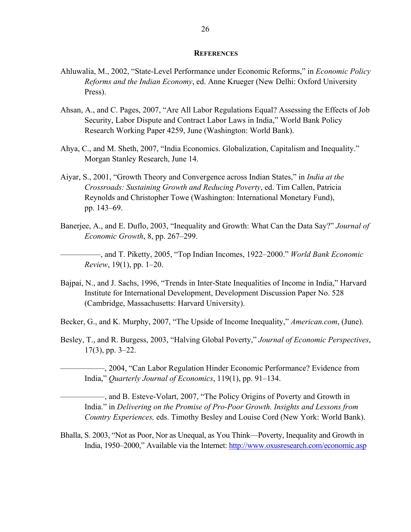#### **REFERENCES**

- Ahluwalia, M., 2002, "State-Level Performance under Economic Reforms," in *Economic Policy Reforms and the Indian Economy*, ed. Anne Krueger (New Delhi: Oxford University Press).
- Ahsan, A., and C. Pages, 2007, "Are All Labor Regulations Equal? Assessing the Effects of Job Security, Labor Dispute and Contract Labor Laws in India," World Bank Policy Research Working Paper 4259, June (Washington: World Bank).
- Ahya, C., and M. Sheth, 2007, "India Economics. Globalization, Capitalism and Inequality." Morgan Stanley Research, June 14.
- Aiyar, S., 2001, "Growth Theory and Convergence across Indian States," in *India at the Crossroads: Sustaining Growth and Reducing Poverty*, ed. Tim Callen, Patricia Reynolds and Christopher Towe (Washington: International Monetary Fund), pp. 143–69.
- Banerjee, A., and E. Duflo, 2003, "Inequality and Growth: What Can the Data Say?" *Journal of Economic Growth*, 8, pp. 267–299.

––––––––––, and T. Piketty, 2005, "Top Indian Incomes, 1922–2000." *World Bank Economic Review*, 19(1), pp. 1–20.

Bajpai, N., and J. Sachs, 1996, "Trends in Inter-State Inequalities of Income in India," Harvard Institute for International Development, Development Discussion Paper No. 528 (Cambridge, Massachusetts: Harvard University).

Becker, G., and K. Murphy, 2007, "The Upside of Income Inequality," *American.com*, (June).

Besley, T., and R. Burgess, 2003, "Halving Global Poverty," *Journal of Economic Perspectives*, 17(3), pp. 3–22.

–––––––––––, 2004, "Can Labor Regulation Hinder Economic Performance? Evidence from India," *Quarterly Journal of Economics*, 119(1), pp. 91–134.

 $-$ , and B. Esteve-Volart, 2007, "The Policy Origins of Poverty and Growth in India." in *Delivering on the Promise of Pro-Poor Growth. Insights and Lessons from Country Experiences,* eds. Timothy Besley and Louise Cord (New York: World Bank).

Bhalla, S. 2003, "Not as Poor, Nor as Unequal, as You Think—Poverty, Inequality and Growth in India, 1950–2000," Available via the Internet: http://www.oxusresearch.com/economic.asp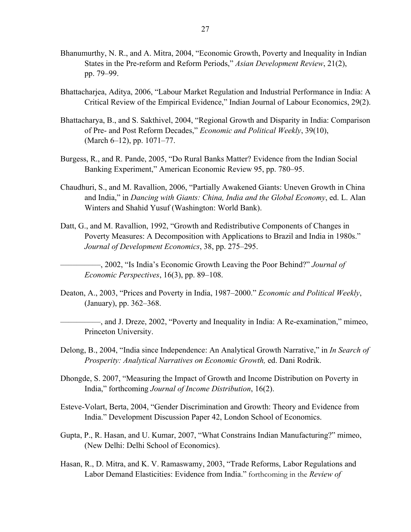- Bhanumurthy, N. R., and A. Mitra, 2004, "Economic Growth, Poverty and Inequality in Indian States in the Pre-reform and Reform Periods," *Asian Development Review*, 21(2), pp. 79–99.
- Bhattacharjea, Aditya, 2006, "Labour Market Regulation and Industrial Performance in India: A Critical Review of the Empirical Evidence," Indian Journal of Labour Economics, 29(2).
- Bhattacharya, B., and S. Sakthivel, 2004, "Regional Growth and Disparity in India: Comparison of Pre- and Post Reform Decades," *Economic and Political Weekly*, 39(10), (March 6–12), pp. 1071–77.
- Burgess, R., and R. Pande, 2005, "Do Rural Banks Matter? Evidence from the Indian Social Banking Experiment," American Economic Review 95, pp. 780–95.
- Chaudhuri, S., and M. Ravallion, 2006, "Partially Awakened Giants: Uneven Growth in China and India," in *Dancing with Giants: China, India and the Global Economy*, ed. L. Alan Winters and Shahid Yusuf (Washington: World Bank).
- Datt, G., and M. Ravallion, 1992, "Growth and Redistributive Components of Changes in Poverty Measures: A Decomposition with Applications to Brazil and India in 1980s." *Journal of Development Economics*, 38, pp. 275–295.

––––––––––, 2002, "Is India's Economic Growth Leaving the Poor Behind?" *Journal of Economic Perspectives*, 16(3), pp. 89–108.

Deaton, A., 2003, "Prices and Poverty in India, 1987–2000." *Economic and Political Weekly*, (January), pp. 362–368.

––––––––––, and J. Dreze, 2002, "Poverty and Inequality in India: A Re-examination," mimeo, Princeton University.

- Delong, B., 2004, "India since Independence: An Analytical Growth Narrative," in *In Search of Prosperity: Analytical Narratives on Economic Growth,* ed. Dani Rodrik.
- Dhongde, S. 2007, "Measuring the Impact of Growth and Income Distribution on Poverty in India," forthcoming *Journal of Income Distribution*, 16(2).
- Esteve-Volart, Berta, 2004, "Gender Discrimination and Growth: Theory and Evidence from India." Development Discussion Paper 42, London School of Economics.
- Gupta, P., R. Hasan, and U. Kumar, 2007, "What Constrains Indian Manufacturing?" mimeo, (New Delhi: Delhi School of Economics).
- Hasan, R., D. Mitra, and K. V. Ramaswamy, 2003, "Trade Reforms, Labor Regulations and Labor Demand Elasticities: Evidence from India." forthcoming in the *Review of*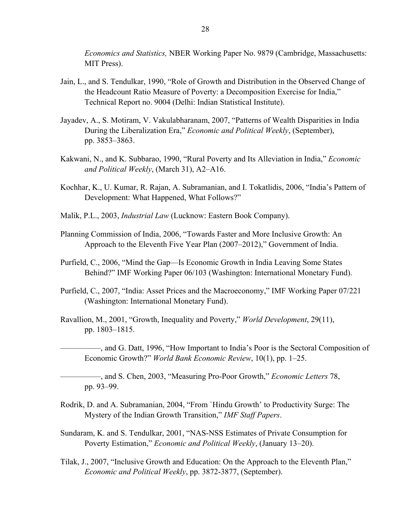*Economics and Statistics,* NBER Working Paper No. 9879 (Cambridge, Massachusetts: MIT Press).

- Jain, L., and S. Tendulkar, 1990, "Role of Growth and Distribution in the Observed Change of the Headcount Ratio Measure of Poverty: a Decomposition Exercise for India," Technical Report no. 9004 (Delhi: Indian Statistical Institute).
- Jayadev, A., S. Motiram, V. Vakulabharanam, 2007, "Patterns of Wealth Disparities in India During the Liberalization Era," *Economic and Political Weekly*, (September), pp. 3853–3863.
- Kakwani, N., and K. Subbarao, 1990, "Rural Poverty and Its Alleviation in India," *Economic and Political Weekly*, (March 31), A2–A16.
- Kochhar, K., U. Kumar, R. Rajan, A. Subramanian, and I. Tokatlidis, 2006, "India's Pattern of Development: What Happened, What Follows?"
- Malik, P.L., 2003, *Industrial Law* (Lucknow: Eastern Book Company).
- Planning Commission of India, 2006, "Towards Faster and More Inclusive Growth: An Approach to the Eleventh Five Year Plan (2007–2012)," Government of India.
- Purfield, C., 2006, "Mind the Gap—Is Economic Growth in India Leaving Some States Behind?" IMF Working Paper 06/103 (Washington: International Monetary Fund).
- Purfield, C., 2007, "India: Asset Prices and the Macroeconomy," IMF Working Paper 07/221 (Washington: International Monetary Fund).
- Ravallion, M., 2001, "Growth, Inequality and Poverty," *World Development*, 29(11), pp. 1803–1815.
	- ––––––––––, and G. Datt, 1996, "How Important to India's Poor is the Sectoral Composition of Economic Growth?" *World Bank Economic Review*, 10(1), pp. 1–25.
		- ––––––––––, and S. Chen, 2003, "Measuring Pro-Poor Growth," *Economic Letters* 78, pp. 93–99.
- Rodrik, D. and A. Subramanian, 2004, "From `Hindu Growth' to Productivity Surge: The Mystery of the Indian Growth Transition," *IMF Staff Papers*.
- Sundaram, K. and S. Tendulkar, 2001, "NAS-NSS Estimates of Private Consumption for Poverty Estimation," *Economic and Political Weekly*, (January 13–20).
- Tilak, J., 2007, "Inclusive Growth and Education: On the Approach to the Eleventh Plan," *Economic and Political Weekly*, pp. 3872-3877, (September).